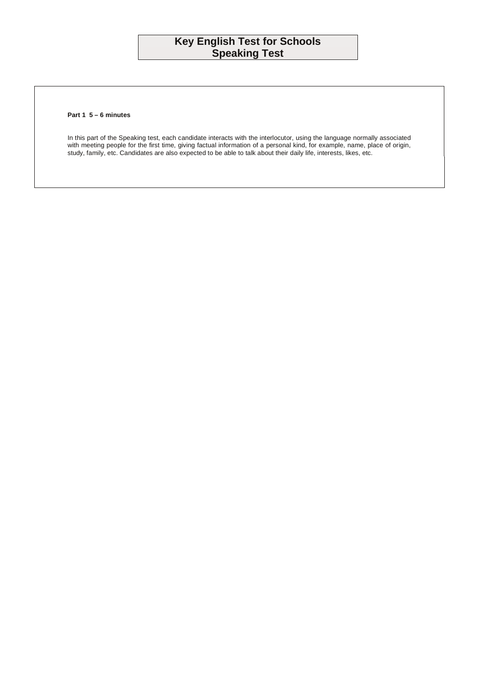## **Key English Test for Schools Speaking Test**

## **Part 1 5 – 6 minutes**

In this part of the Speaking test, each candidate interacts with the interlocutor, using the language normally associated with meeting people for the first time, giving factual information of a personal kind, for example, name, place of origin, study, family, etc. Candidates are also expected to be able to talk about their daily life, interests, likes, etc.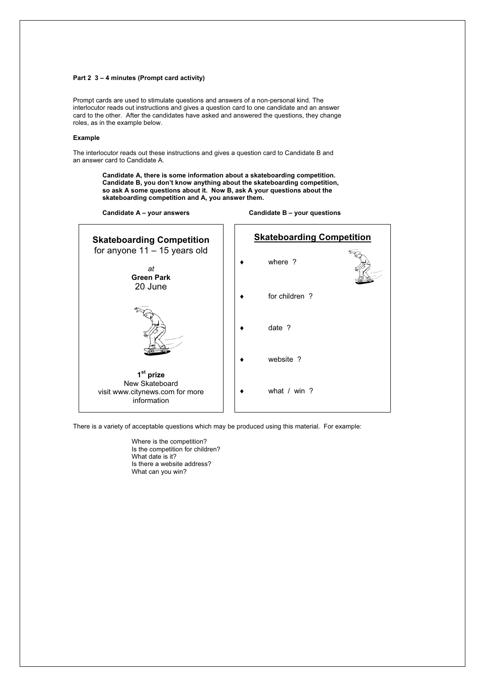## **Part 2 3 – 4 minutes (Prompt card activity)**

Prompt cards are used to stimulate questions and answers of a non-personal kind. The interlocutor reads out instructions and gives a question card to one candidate and an answer card to the other. After the candidates have asked and answered the questions, they change roles, as in the example below.

## **Example**

The interlocutor reads out these instructions and gives a question card to Candidate B and an answer card to Candidate A.

> **Candidate A, there is some information about a skateboarding competition. Candidate B, you don't know anything about the skateboarding competition, so ask A some questions about it. Now B, ask A your questions about the skateboarding competition and A, you answer them.**

Candidate A – your answers **Candidate B – your questions** 



There is a variety of acceptable questions which may be produced using this material. For example:

 Where is the competition? Is the competition for children? What date is it? Is there a website address? What can you win?